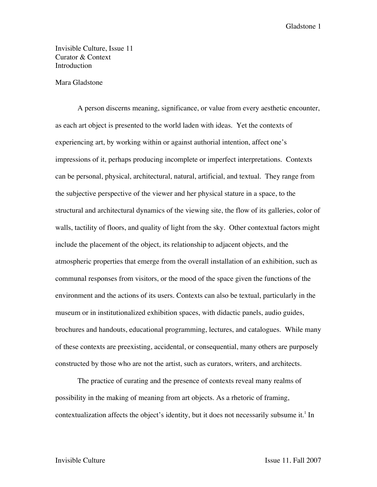Gladstone 1

Invisible Culture, Issue 11 Curator & Context **Introduction** 

## Mara Gladstone

A person discerns meaning, significance, or value from every aesthetic encounter, as each art object is presented to the world laden with ideas. Yet the contexts of experiencing art, by working within or against authorial intention, affect one's impressions of it, perhaps producing incomplete or imperfect interpretations. Contexts can be personal, physical, architectural, natural, artificial, and textual. They range from the subjective perspective of the viewer and her physical stature in a space, to the structural and architectural dynamics of the viewing site, the flow of its galleries, color of walls, tactility of floors, and quality of light from the sky. Other contextual factors might include the placement of the object, its relationship to adjacent objects, and the atmospheric properties that emerge from the overall installation of an exhibition, such as communal responses from visitors, or the mood of the space given the functions of the environment and the actions of its users. Contexts can also be textual, particularly in the museum or in institutionalized exhibition spaces, with didactic panels, audio guides, brochures and handouts, educational programming, lectures, and catalogues. While many of these contexts are preexisting, accidental, or consequential, many others are purposely constructed by those who are not the artist, such as curators, writers, and architects.

The practice of curating and the presence of contexts reveal many realms of possibility in the making of meaning from art objects. As a rhetoric of framing, contextualization affects the object's identity, but it does not necessarily subsume it.<sup>1</sup> In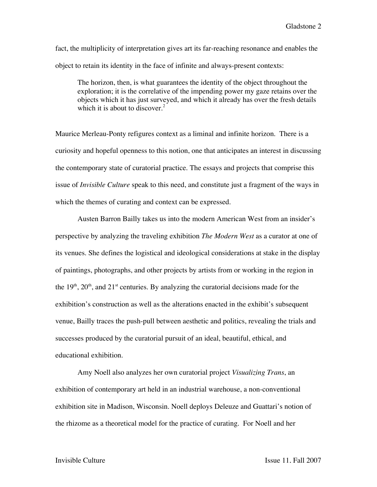fact, the multiplicity of interpretation gives art its far-reaching resonance and enables the object to retain its identity in the face of infinite and always-present contexts:

The horizon, then, is what guarantees the identity of the object throughout the exploration; it is the correlative of the impending power my gaze retains over the objects which it has just surveyed, and which it already has over the fresh details which it is about to discover.<sup>2</sup>

Maurice Merleau-Ponty refigures context as a liminal and infinite horizon. There is a curiosity and hopeful openness to this notion, one that anticipates an interest in discussing the contemporary state of curatorial practice. The essays and projects that comprise this issue of *Invisible Culture* speak to this need, and constitute just a fragment of the ways in which the themes of curating and context can be expressed.

Austen Barron Bailly takes us into the modern American West from an insider's perspective by analyzing the traveling exhibition *The Modern West* as a curator at one of its venues. She defines the logistical and ideological considerations at stake in the display of paintings, photographs, and other projects by artists from or working in the region in the  $19<sup>th</sup>$ ,  $20<sup>th</sup>$ , and  $21<sup>st</sup>$  centuries. By analyzing the curatorial decisions made for the exhibition's construction as well as the alterations enacted in the exhibit's subsequent venue, Bailly traces the push-pull between aesthetic and politics, revealing the trials and successes produced by the curatorial pursuit of an ideal, beautiful, ethical, and educational exhibition.

Amy Noell also analyzes her own curatorial project *Visualizing Trans*, an exhibition of contemporary art held in an industrial warehouse, a non-conventional exhibition site in Madison, Wisconsin. Noell deploys Deleuze and Guattari's notion of the rhizome as a theoretical model for the practice of curating. For Noell and her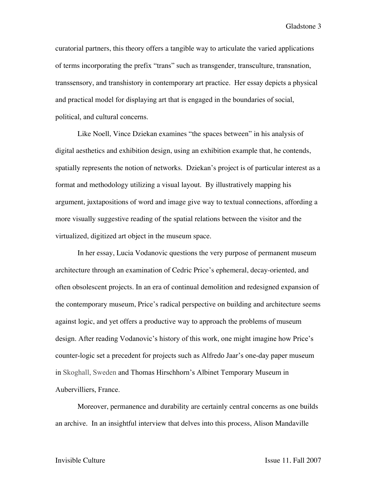Gladstone 3

curatorial partners, this theory offers a tangible way to articulate the varied applications of terms incorporating the prefix "trans" such as transgender, transculture, transnation, transsensory, and transhistory in contemporary art practice. Her essay depicts a physical and practical model for displaying art that is engaged in the boundaries of social, political, and cultural concerns.

Like Noell, Vince Dziekan examines "the spaces between" in his analysis of digital aesthetics and exhibition design, using an exhibition example that, he contends, spatially represents the notion of networks. Dziekan's project is of particular interest as a format and methodology utilizing a visual layout. By illustratively mapping his argument, juxtapositions of word and image give way to textual connections, affording a more visually suggestive reading of the spatial relations between the visitor and the virtualized, digitized art object in the museum space.

In her essay, Lucia Vodanovic questions the very purpose of permanent museum architecture through an examination of Cedric Price's ephemeral, decay-oriented, and often obsolescent projects. In an era of continual demolition and redesigned expansion of the contemporary museum, Price's radical perspective on building and architecture seems against logic, and yet offers a productive way to approach the problems of museum design. After reading Vodanovic's history of this work, one might imagine how Price's counter-logic set a precedent for projects such as Alfredo Jaar's one-day paper museum in Skoghall, Sweden and Thomas Hirschhorn's Albinet Temporary Museum in Aubervilliers, France.

Moreover, permanence and durability are certainly central concerns as one builds an archive. In an insightful interview that delves into this process, Alison Mandaville

Invisible Culture Issue 11, Fall 2007